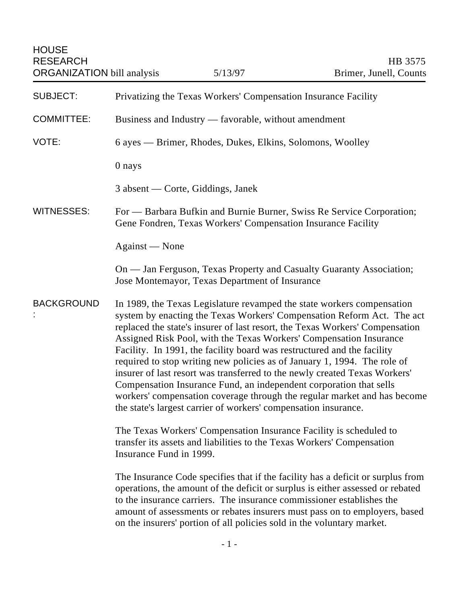**HOUSE** RESEARCH HB 3575 ORGANIZATION bill analysis 5/13/97 Brimer, Junell, Counts SUBJECT: Privatizing the Texas Workers' Compensation Insurance Facility COMMITTEE: Business and Industry — favorable, without amendment VOTE: 6 ayes — Brimer, Rhodes, Dukes, Elkins, Solomons, Woolley 0 nays 3 absent — Corte, Giddings, Janek WITNESSES: For — Barbara Bufkin and Burnie Burner, Swiss Re Service Corporation; Gene Fondren, Texas Workers' Compensation Insurance Facility Against — None On — Jan Ferguson, Texas Property and Casualty Guaranty Association; Jose Montemayor, Texas Department of Insurance **BACKGROUND** : In 1989, the Texas Legislature revamped the state workers compensation system by enacting the Texas Workers' Compensation Reform Act. The act replaced the state's insurer of last resort, the Texas Workers' Compensation Assigned Risk Pool, with the Texas Workers' Compensation Insurance Facility. In 1991, the facility board was restructured and the facility required to stop writing new policies as of January 1, 1994. The role of insurer of last resort was transferred to the newly created Texas Workers' Compensation Insurance Fund, an independent corporation that sells workers' compensation coverage through the regular market and has become the state's largest carrier of workers' compensation insurance. The Texas Workers' Compensation Insurance Facility is scheduled to transfer its assets and liabilities to the Texas Workers' Compensation Insurance Fund in 1999. The Insurance Code specifies that if the facility has a deficit or surplus from operations, the amount of the deficit or surplus is either assessed or rebated to the insurance carriers. The insurance commissioner establishes the amount of assessments or rebates insurers must pass on to employers, based

on the insurers' portion of all policies sold in the voluntary market.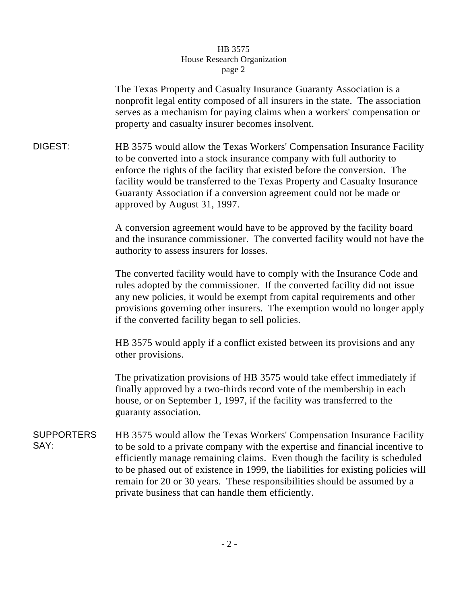## HB 3575 House Research Organization page 2

The Texas Property and Casualty Insurance Guaranty Association is a nonprofit legal entity composed of all insurers in the state. The association serves as a mechanism for paying claims when a workers' compensation or property and casualty insurer becomes insolvent.

DIGEST: HB 3575 would allow the Texas Workers' Compensation Insurance Facility to be converted into a stock insurance company with full authority to enforce the rights of the facility that existed before the conversion. The facility would be transferred to the Texas Property and Casualty Insurance Guaranty Association if a conversion agreement could not be made or approved by August 31, 1997.

> A conversion agreement would have to be approved by the facility board and the insurance commissioner. The converted facility would not have the authority to assess insurers for losses.

> The converted facility would have to comply with the Insurance Code and rules adopted by the commissioner. If the converted facility did not issue any new policies, it would be exempt from capital requirements and other provisions governing other insurers. The exemption would no longer apply if the converted facility began to sell policies.

HB 3575 would apply if a conflict existed between its provisions and any other provisions.

The privatization provisions of HB 3575 would take effect immediately if finally approved by a two-thirds record vote of the membership in each house, or on September 1, 1997, if the facility was transferred to the guaranty association.

SUPPORTERS SAY: HB 3575 would allow the Texas Workers' Compensation Insurance Facility to be sold to a private company with the expertise and financial incentive to efficiently manage remaining claims. Even though the facility is scheduled to be phased out of existence in 1999, the liabilities for existing policies will remain for 20 or 30 years. These responsibilities should be assumed by a private business that can handle them efficiently.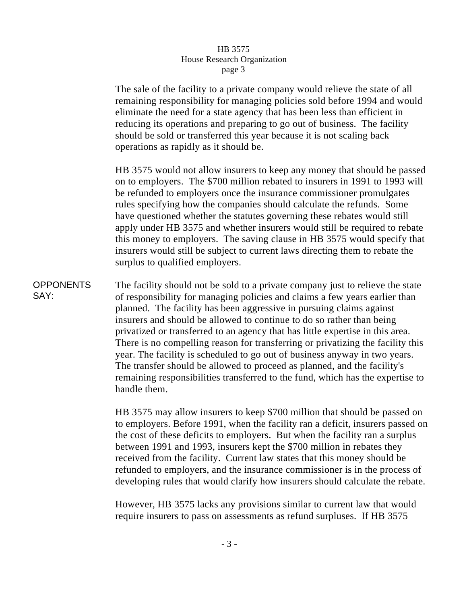## HB 3575 House Research Organization page 3

The sale of the facility to a private company would relieve the state of all remaining responsibility for managing policies sold before 1994 and would eliminate the need for a state agency that has been less than efficient in reducing its operations and preparing to go out of business. The facility should be sold or transferred this year because it is not scaling back operations as rapidly as it should be.

HB 3575 would not allow insurers to keep any money that should be passed on to employers. The \$700 million rebated to insurers in 1991 to 1993 will be refunded to employers once the insurance commissioner promulgates rules specifying how the companies should calculate the refunds. Some have questioned whether the statutes governing these rebates would still apply under HB 3575 and whether insurers would still be required to rebate this money to employers. The saving clause in HB 3575 would specify that insurers would still be subject to current laws directing them to rebate the surplus to qualified employers.

**OPPONENTS** SAY: The facility should not be sold to a private company just to relieve the state of responsibility for managing policies and claims a few years earlier than planned. The facility has been aggressive in pursuing claims against insurers and should be allowed to continue to do so rather than being privatized or transferred to an agency that has little expertise in this area. There is no compelling reason for transferring or privatizing the facility this year. The facility is scheduled to go out of business anyway in two years. The transfer should be allowed to proceed as planned, and the facility's remaining responsibilities transferred to the fund, which has the expertise to handle them.

> HB 3575 may allow insurers to keep \$700 million that should be passed on to employers. Before 1991, when the facility ran a deficit, insurers passed on the cost of these deficits to employers. But when the facility ran a surplus between 1991 and 1993, insurers kept the \$700 million in rebates they received from the facility. Current law states that this money should be refunded to employers, and the insurance commissioner is in the process of developing rules that would clarify how insurers should calculate the rebate.

However, HB 3575 lacks any provisions similar to current law that would require insurers to pass on assessments as refund surpluses. If HB 3575